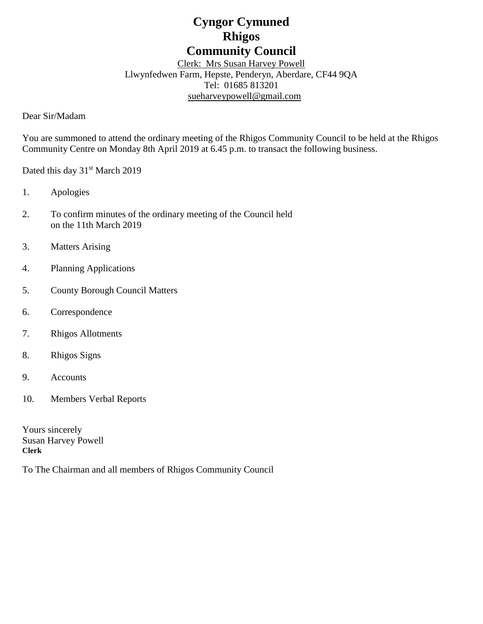# **Cyngor Cymuned Rhigos Community Council**

Clerk: Mrs Susan Harvey Powell Llwynfedwen Farm, Hepste, Penderyn, Aberdare, CF44 9QA Tel: 01685 813201 [sueharveypowell@g](mailto:sharveypowell@comin-infants.co.uk)mail.com

Dear Sir/Madam

You are summoned to attend the ordinary meeting of the Rhigos Community Council to be held at the Rhigos Community Centre on Monday 8th April 2019 at 6.45 p.m. to transact the following business.

Dated this day 31<sup>st</sup> March 2019

- 1. Apologies
- 2. To confirm minutes of the ordinary meeting of the Council held on the 11th March 2019
- 3. Matters Arising
- 4. Planning Applications
- 5. County Borough Council Matters
- 6. Correspondence
- 7. Rhigos Allotments
- 8. Rhigos Signs
- 9. Accounts
- 10. Members Verbal Reports

Yours sincerely Susan Harvey Powell **Clerk**

To The Chairman and all members of Rhigos Community Council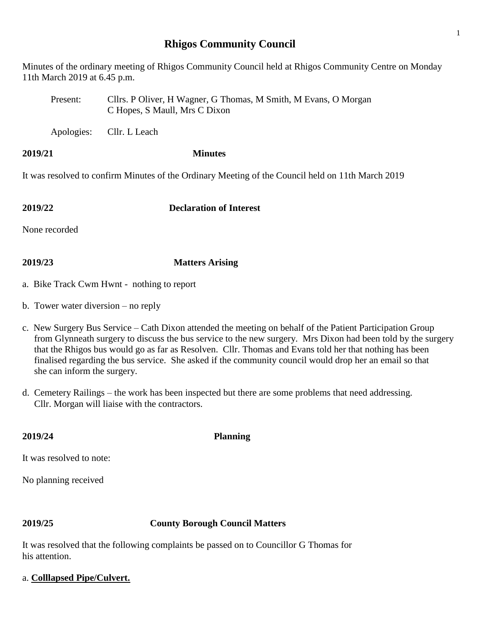## **Rhigos Community Council**

Minutes of the ordinary meeting of Rhigos Community Council held at Rhigos Community Centre on Monday 11th March 2019 at 6.45 p.m.

Present: Cllrs. P Oliver, H Wagner, G Thomas, M Smith, M Evans, O Morgan C Hopes, S Maull, Mrs C Dixon

Apologies: Cllr. L Leach

### **2019/21 Minutes**

It was resolved to confirm Minutes of the Ordinary Meeting of the Council held on 11th March 2019

**2019/22 Declaration of Interest**

None recorded

## **2019/23 Matters Arising**

- a. Bike Track Cwm Hwnt nothing to report
- b. Tower water diversion no reply
- c. New Surgery Bus Service Cath Dixon attended the meeting on behalf of the Patient Participation Group from Glynneath surgery to discuss the bus service to the new surgery. Mrs Dixon had been told by the surgery that the Rhigos bus would go as far as Resolven. Cllr. Thomas and Evans told her that nothing has been finalised regarding the bus service. She asked if the community council would drop her an email so that she can inform the surgery.
- d. Cemetery Railings the work has been inspected but there are some problems that need addressing. Cllr. Morgan will liaise with the contractors.

It was resolved to note:

No planning received

## **2019/25 County Borough Council Matters**

It was resolved that the following complaints be passed on to Councillor G Thomas for his attention.

## a. **Colllapsed Pipe/Culvert.**

**2019/24 Planning**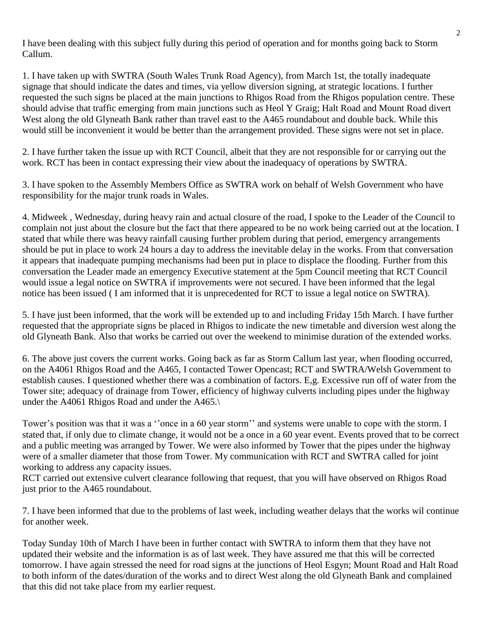I have been dealing with this subject fully during this period of operation and for months going back to Storm Callum.

1. I have taken up with SWTRA (South Wales Trunk Road Agency), from March 1st, the totally inadequate signage that should indicate the dates and times, via yellow diversion signing, at strategic locations. I further requested the such signs be placed at the main junctions to Rhigos Road from the Rhigos population centre. These should advise that traffic emerging from main junctions such as Heol Y Graig; Halt Road and Mount Road divert West along the old Glyneath Bank rather than travel east to the A465 roundabout and double back. While this would still be inconvenient it would be better than the arrangement provided. These signs were not set in place.

2. I have further taken the issue up with RCT Council, albeit that they are not responsible for or carrying out the work. RCT has been in contact expressing their view about the inadequacy of operations by SWTRA.

3. I have spoken to the Assembly Members Office as SWTRA work on behalf of Welsh Government who have responsibility for the major trunk roads in Wales.

4. Midweek , Wednesday, during heavy rain and actual closure of the road, I spoke to the Leader of the Council to complain not just about the closure but the fact that there appeared to be no work being carried out at the location. I stated that while there was heavy rainfall causing further problem during that period, emergency arrangements should be put in place to work 24 hours a day to address the inevitable delay in the works. From that conversation it appears that inadequate pumping mechanisms had been put in place to displace the flooding. Further from this conversation the Leader made an emergency Executive statement at the 5pm Council meeting that RCT Council would issue a legal notice on SWTRA if improvements were not secured. I have been informed that the legal notice has been issued ( I am informed that it is unprecedented for RCT to issue a legal notice on SWTRA).

5. I have just been informed, that the work will be extended up to and including Friday 15th March. I have further requested that the appropriate signs be placed in Rhigos to indicate the new timetable and diversion west along the old Glyneath Bank. Also that works be carried out over the weekend to minimise duration of the extended works.

6. The above just covers the current works. Going back as far as Storm Callum last year, when flooding occurred, on the A4061 Rhigos Road and the A465, I contacted Tower Opencast; RCT and SWTRA/Welsh Government to establish causes. I questioned whether there was a combination of factors. E,g. Excessive run off of water from the Tower site; adequacy of drainage from Tower, efficiency of highway culverts including pipes under the highway under the A4061 Rhigos Road and under the A465.\

Tower's position was that it was a ''once in a 60 year storm'' and systems were unable to cope with the storm. I stated that, if only due to climate change, it would not be a once in a 60 year event. Events proved that to be correct and a public meeting was arranged by Tower. We were also informed by Tower that the pipes under the highway were of a smaller diameter that those from Tower. My communication with RCT and SWTRA called for joint working to address any capacity issues.

RCT carried out extensive culvert clearance following that request, that you will have observed on Rhigos Road just prior to the A465 roundabout.

7. I have been informed that due to the problems of last week, including weather delays that the works wil continue for another week.

Today Sunday 10th of March I have been in further contact with SWTRA to inform them that they have not updated their website and the information is as of last week. They have assured me that this will be corrected tomorrow. I have again stressed the need for road signs at the junctions of Heol Esgyn; Mount Road and Halt Road to both inform of the dates/duration of the works and to direct West along the old Glyneath Bank and complained that this did not take place from my earlier request.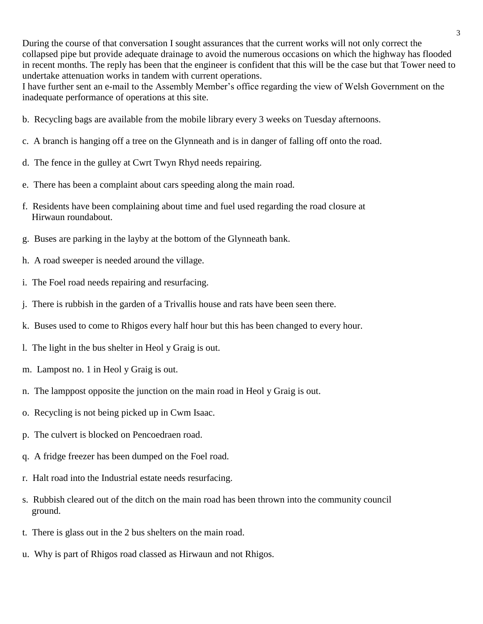During the course of that conversation I sought assurances that the current works will not only correct the collapsed pipe but provide adequate drainage to avoid the numerous occasions on which the highway has flooded in recent months. The reply has been that the engineer is confident that this will be the case but that Tower need to undertake attenuation works in tandem with current operations.

I have further sent an e-mail to the Assembly Member's office regarding the view of Welsh Government on the inadequate performance of operations at this site.

- b. Recycling bags are available from the mobile library every 3 weeks on Tuesday afternoons.
- c. A branch is hanging off a tree on the Glynneath and is in danger of falling off onto the road.
- d. The fence in the gulley at Cwrt Twyn Rhyd needs repairing.
- e. There has been a complaint about cars speeding along the main road.
- f. Residents have been complaining about time and fuel used regarding the road closure at Hirwaun roundabout.
- g. Buses are parking in the layby at the bottom of the Glynneath bank.
- h. A road sweeper is needed around the village.
- i. The Foel road needs repairing and resurfacing.
- j. There is rubbish in the garden of a Trivallis house and rats have been seen there.
- k. Buses used to come to Rhigos every half hour but this has been changed to every hour.
- l. The light in the bus shelter in Heol y Graig is out.
- m. Lampost no. 1 in Heol y Graig is out.
- n. The lamppost opposite the junction on the main road in Heol y Graig is out.
- o. Recycling is not being picked up in Cwm Isaac.
- p. The culvert is blocked on Pencoedraen road.
- q. A fridge freezer has been dumped on the Foel road.
- r. Halt road into the Industrial estate needs resurfacing.
- s. Rubbish cleared out of the ditch on the main road has been thrown into the community council ground.
- t. There is glass out in the 2 bus shelters on the main road.
- u. Why is part of Rhigos road classed as Hirwaun and not Rhigos.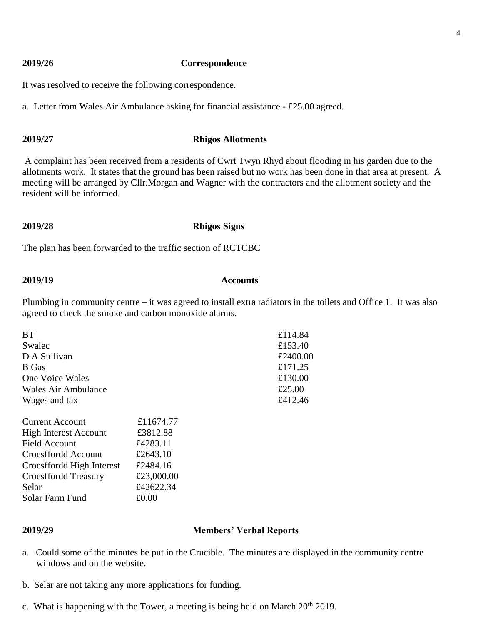### **2019/26 Correspondence**

It was resolved to receive the following correspondence.

a. Letter from Wales Air Ambulance asking for financial assistance - £25.00 agreed.

### **2019/27 Rhigos Allotments**

A complaint has been received from a residents of Cwrt Twyn Rhyd about flooding in his garden due to the allotments work. It states that the ground has been raised but no work has been done in that area at present. A meeting will be arranged by Cllr.Morgan and Wagner with the contractors and the allotment society and the resident will be informed.

### **2019/28 Rhigos Signs**

The plan has been forwarded to the traffic section of RCTCBC

### **2019/19 Accounts**

Plumbing in community centre – it was agreed to install extra radiators in the toilets and Office 1. It was also agreed to check the smoke and carbon monoxide alarms.

| <b>BT</b>                    |           | £114.84  |
|------------------------------|-----------|----------|
| Swalec                       |           | £153.40  |
| D A Sullivan                 |           | £2400.00 |
| <b>B</b> Gas                 |           | £171.25  |
| One Voice Wales              |           | £130.00  |
| Wales Air Ambulance          |           | £25.00   |
| Wages and tax                |           | £412.46  |
| <b>Current Account</b>       | £11674.77 |          |
| <b>High Interest Account</b> | £3812.88  |          |
| Field Account                | £4283.11  |          |
| Croesffordd Account          | £2643.10  |          |
| Croesffordd High Interest    | £2484.16  |          |

### **2019/29 Members' Verbal Reports**

- a. Could some of the minutes be put in the Crucible. The minutes are displayed in the community centre windows and on the website.
- b. Selar are not taking any more applications for funding.

Croesffordd Treasury £23,000.00 Selar  $£42622.34$ Solar Farm Fund £0.00

c. What is happening with the Tower, a meeting is being held on March  $20^{th}$  2019.